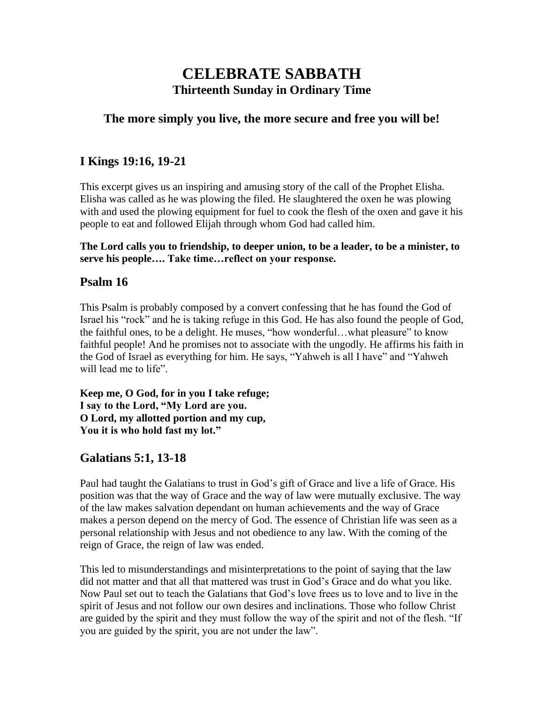# **CELEBRATE SABBATH Thirteenth Sunday in Ordinary Time**

#### **The more simply you live, the more secure and free you will be!**

### **I Kings 19:16, 19-21**

This excerpt gives us an inspiring and amusing story of the call of the Prophet Elisha. Elisha was called as he was plowing the filed. He slaughtered the oxen he was plowing with and used the plowing equipment for fuel to cook the flesh of the oxen and gave it his people to eat and followed Elijah through whom God had called him.

**The Lord calls you to friendship, to deeper union, to be a leader, to be a minister, to serve his people…. Take time…reflect on your response.**

### **Psalm 16**

This Psalm is probably composed by a convert confessing that he has found the God of Israel his "rock" and he is taking refuge in this God. He has also found the people of God, the faithful ones, to be a delight. He muses, "how wonderful…what pleasure" to know faithful people! And he promises not to associate with the ungodly. He affirms his faith in the God of Israel as everything for him. He says, "Yahweh is all I have" and "Yahweh will lead me to life".

**Keep me, O God, for in you I take refuge; I say to the Lord, "My Lord are you. O Lord, my allotted portion and my cup, You it is who hold fast my lot."**

### **Galatians 5:1, 13-18**

Paul had taught the Galatians to trust in God's gift of Grace and live a life of Grace. His position was that the way of Grace and the way of law were mutually exclusive. The way of the law makes salvation dependant on human achievements and the way of Grace makes a person depend on the mercy of God. The essence of Christian life was seen as a personal relationship with Jesus and not obedience to any law. With the coming of the reign of Grace, the reign of law was ended.

This led to misunderstandings and misinterpretations to the point of saying that the law did not matter and that all that mattered was trust in God's Grace and do what you like. Now Paul set out to teach the Galatians that God's love frees us to love and to live in the spirit of Jesus and not follow our own desires and inclinations. Those who follow Christ are guided by the spirit and they must follow the way of the spirit and not of the flesh. "If you are guided by the spirit, you are not under the law".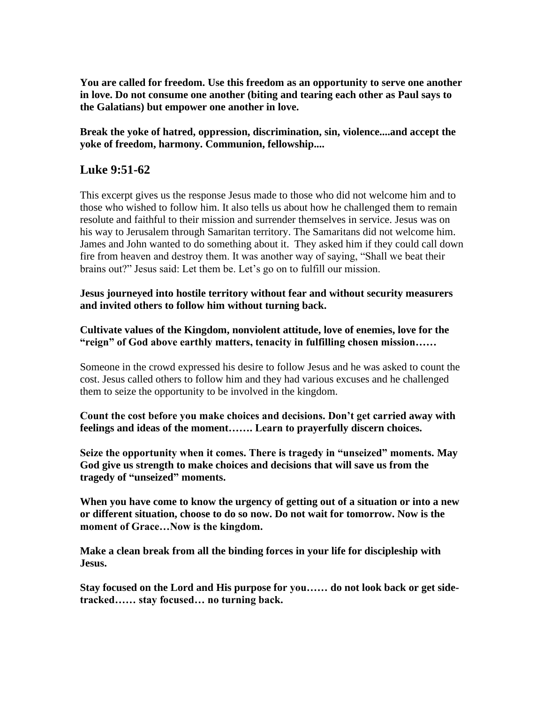**You are called for freedom. Use this freedom as an opportunity to serve one another in love. Do not consume one another (biting and tearing each other as Paul says to the Galatians) but empower one another in love.**

**Break the yoke of hatred, oppression, discrimination, sin, violence....and accept the yoke of freedom, harmony. Communion, fellowship....**

### **Luke 9:51-62**

This excerpt gives us the response Jesus made to those who did not welcome him and to those who wished to follow him. It also tells us about how he challenged them to remain resolute and faithful to their mission and surrender themselves in service. Jesus was on his way to Jerusalem through Samaritan territory. The Samaritans did not welcome him. James and John wanted to do something about it. They asked him if they could call down fire from heaven and destroy them. It was another way of saying, "Shall we beat their brains out?" Jesus said: Let them be. Let's go on to fulfill our mission.

**Jesus journeyed into hostile territory without fear and without security measurers and invited others to follow him without turning back.**

**Cultivate values of the Kingdom, nonviolent attitude, love of enemies, love for the "reign" of God above earthly matters, tenacity in fulfilling chosen mission……**

Someone in the crowd expressed his desire to follow Jesus and he was asked to count the cost. Jesus called others to follow him and they had various excuses and he challenged them to seize the opportunity to be involved in the kingdom.

**Count the cost before you make choices and decisions. Don't get carried away with feelings and ideas of the moment……. Learn to prayerfully discern choices.**

**Seize the opportunity when it comes. There is tragedy in "unseized" moments. May God give us strength to make choices and decisions that will save us from the tragedy of "unseized" moments.**

**When you have come to know the urgency of getting out of a situation or into a new or different situation, choose to do so now. Do not wait for tomorrow. Now is the moment of Grace…Now is the kingdom.**

**Make a clean break from all the binding forces in your life for discipleship with Jesus.** 

**Stay focused on the Lord and His purpose for you…… do not look back or get sidetracked…… stay focused… no turning back.**